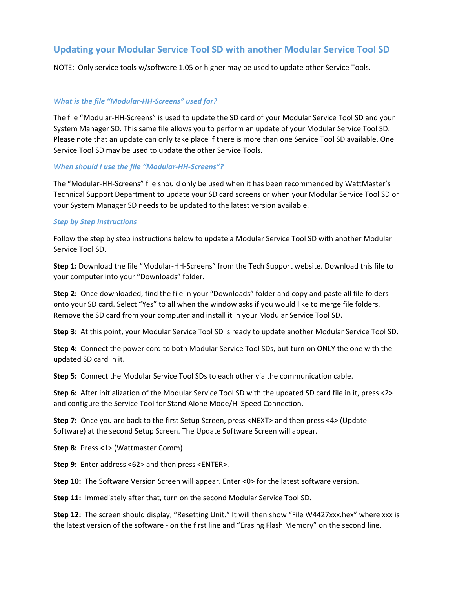## **Updating your Modular Service Tool SD with another Modular Service Tool SD**

NOTE: Only service tools w/software 1.05 or higher may be used to update other Service Tools.

## *What is the file "Modular‐HH‐Screens" used for?*

The file "Modular‐HH‐Screens" is used to update the SD card of your Modular Service Tool SD and your System Manager SD. This same file allows you to perform an update of your Modular Service Tool SD. Please note that an update can only take place if there is more than one Service Tool SD available. One Service Tool SD may be used to update the other Service Tools.

## *When should I use the file "Modular‐HH‐Screens"?*

The "Modular‐HH‐Screens" file should only be used when it has been recommended by WattMaster's Technical Support Department to update your SD card screens or when your Modular Service Tool SD or your System Manager SD needs to be updated to the latest version available.

## *Step by Step Instructions*

Follow the step by step instructions below to update a Modular Service Tool SD with another Modular Service Tool SD.

**Step 1:** Download the file "Modular‐HH‐Screens" from the Tech Support website. Download this file to your computer into your "Downloads" folder.

**Step 2:** Once downloaded, find the file in your "Downloads" folder and copy and paste all file folders onto your SD card. Select "Yes" to all when the window asks if you would like to merge file folders. Remove the SD card from your computer and install it in your Modular Service Tool SD.

**Step 3:** At this point, your Modular Service Tool SD is ready to update another Modular Service Tool SD.

**Step 4:** Connect the power cord to both Modular Service Tool SDs, but turn on ONLY the one with the updated SD card in it.

**Step 5:** Connect the Modular Service Tool SDs to each other via the communication cable.

**Step 6:** After initialization of the Modular Service Tool SD with the updated SD card file in it, press <2> and configure the Service Tool for Stand Alone Mode/Hi Speed Connection.

**Step 7:** Once you are back to the first Setup Screen, press <NEXT> and then press <4> (Update Software) at the second Setup Screen. The Update Software Screen will appear.

**Step 8:** Press <1> (Wattmaster Comm)

**Step 9:** Enter address <62> and then press <ENTER>.

**Step 10:** The Software Version Screen will appear. Enter <0> for the latest software version.

**Step 11:** Immediately after that, turn on the second Modular Service Tool SD.

**Step 12:** The screen should display, "Resetting Unit." It will then show "File W4427xxx.hex" where xxx is the latest version of the software ‐ on the first line and "Erasing Flash Memory" on the second line.